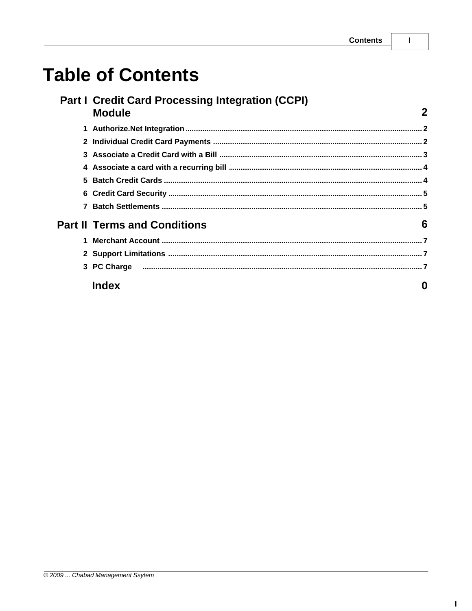$\mathbf{I}$ 

 $\overline{\mathbf{2}}$ 

# **Table of Contents**

#### Part I Credit Card Processing Integration (CCPI) **Module**

| 5.                   |                                     |   |
|----------------------|-------------------------------------|---|
|                      |                                     |   |
|                      |                                     |   |
|                      | <b>Part II Terms and Conditions</b> | 6 |
| $\blacktriangleleft$ |                                     |   |
|                      |                                     |   |
|                      |                                     |   |
|                      | Index                               |   |

#### $\mathbf{I}$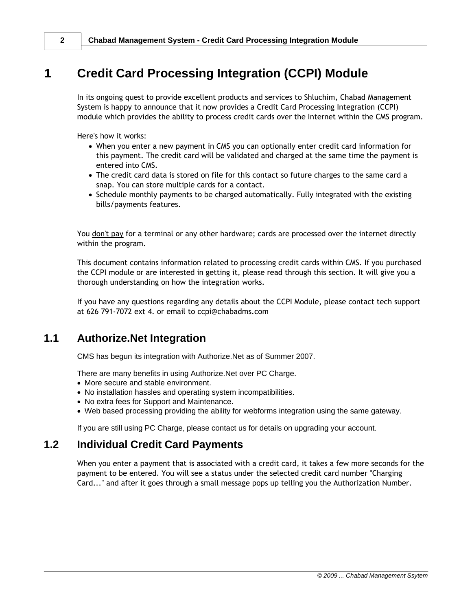# <span id="page-1-0"></span>**1 Credit Card Processing Integration (CCPI) Module**

In its ongoing quest to provide excellent products and services to Shluchim, Chabad Management System is happy to announce that it now provides a Credit Card Processing Integration (CCPI) module which provides the ability to process credit cards over the Internet within the CMS program.

Here's how it works:

- · When you enter a new payment in CMS you can optionally enter credit card information for this payment. The credit card will be validated and charged at the same time the payment is entered into CMS.
- · The credit card data is stored on file for this contact so future charges to the same card a snap. You can store multiple cards for a contact.
- · Schedule monthly payments to be charged automatically. Fully integrated with the existing bills/payments features.

You don't pay for a terminal or any other hardware; cards are processed over the internet directly within the program.

This document contains information related to processing credit cards within CMS. If you purchased the CCPI module or are interested in getting it, please read through this section. It will give you a thorough understanding on how the integration works.

If you have any questions regarding any details about the CCPI Module, please contact tech support at 626 791-7072 ext 4. or email to ccpi@chabadms.com

### <span id="page-1-1"></span>**1.1 Authorize.Net Integration**

CMS has begun its integration with Authorize.Net as of Summer 2007.

There are many benefits in using Authorize.Net over PC Charge.

- · More secure and stable environment.
- · No installation hassles and operating system incompatibilities.
- · No extra fees for Support and Maintenance.
- · Web based processing providing the ability for webforms integration using the same gateway.

If you are still using PC Charge, please contact us for details on upgrading your account.

#### <span id="page-1-2"></span>**1.2 Individual Credit Card Payments**

When you enter a payment that is associated with a credit card, it takes a few more seconds for the payment to be entered. You will see a status under the selected credit card number "Charging Card..." and after it goes through a small message pops up telling you the Authorization Number.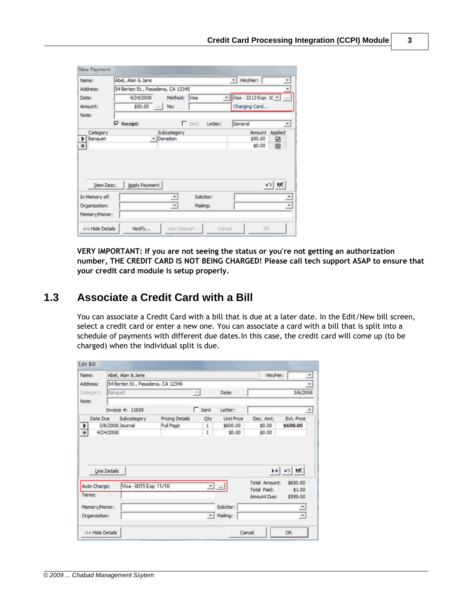| Name:                          | Abel, Alan & Jane                 |             |                          | * Him/Her: |                           | $\overline{\phantom{a}}$ |
|--------------------------------|-----------------------------------|-------------|--------------------------|------------|---------------------------|--------------------------|
| Address:                       | 54 Berten St., Pasadena, CA 12345 |             |                          |            |                           | $\overline{\phantom{a}}$ |
| Date:                          | 4/24/2008                         | Method:     | Visa                     |            | v   Visa - 3213 Exp: 10 v |                          |
| Amount:                        | \$50.00                           | $\sim$ No:  |                          |            | Charging Card             |                          |
| Note:                          |                                   |             |                          |            |                           |                          |
|                                | <b>▽</b> Receipt:                 |             | $\Gamma$ Sent<br>Letter: | General    |                           | ▾                        |
| Category                       |                                   |             |                          |            | Amount Applied            |                          |
|                                |                                   | Subcategory |                          |            |                           |                          |
| Banquet                        |                                   | - Donation  |                          |            | \$50.00                   | ☑                        |
| $\overline{\ast}$              |                                   |             |                          |            | \$0.00                    | 圓                        |
| Item Desc.                     | <b>Apply Payment</b>              |             |                          |            |                           | の隊                       |
|                                |                                   | $^\star$    | Solicitor:               |            |                           |                          |
| In Memory of:<br>Organization: |                                   | $\bullet$   | Mailing:                 |            |                           | $\;$                     |

**VERY IMPORTANT: If you are not seeing the status or you're not getting an authorization number, THE CREDIT CARD IS NOT BEING CHARGED! Please call tech support ASAP to ensure that your credit card module is setup properly.**

#### <span id="page-2-0"></span>**1.3 Associate a Credit Card with a Bill**

You can associate a Credit Card with a bill that is due at a later date. In the Edit/New bill screen, select a credit card or enter a new one. You can associate a card with a bill that is split into a schedule of payments with different due dates.In this case, the credit card will come up (to be charged) when the individual split is due.

| Name:                                   |              | Abel, Alan & Jane                 |                        |                |                   | Him/Her:                          |                               |
|-----------------------------------------|--------------|-----------------------------------|------------------------|----------------|-------------------|-----------------------------------|-------------------------------|
| Address:                                |              | 54 Berten St., Pasadena, CA 12345 |                        |                |                   |                                   |                               |
| Category:                               | Banquet      |                                   |                        | $\overline{r}$ | Date:             |                                   | 3/6/2008                      |
| Note:                                   |              |                                   |                        |                |                   |                                   |                               |
|                                         |              | Invoice #: 11659                  |                        | $\Gamma$ Sent  | Letter:           |                                   |                               |
| Date Due                                |              | Subcategory                       | <b>Pricing Details</b> | Qty            | <b>Unit Price</b> | Disc. Amt.                        | <b>Ext. Price</b>             |
| $\frac{1}{*}$                           |              | 3/6/2008 Journal                  | <b>Full Page</b>       | 1              | \$600.00          | \$0.00                            | \$600.00                      |
|                                         | 4/24/2008    |                                   |                        | 1              | \$0.00            | \$0.00                            |                               |
|                                         |              |                                   |                        |                |                   |                                   |                               |
|                                         | Line Details |                                   |                        |                |                   |                                   | $\mathbb{R}$ (c) $\mathbb{R}$ |
|                                         |              |                                   |                        |                |                   | <b>Total Amount:</b>              | \$600.00                      |
|                                         |              | Visa - 0015 Exp: 11/10            |                        |                | <u> - 1</u>       | <b>Total Paid:</b><br>Amount Due: | \$1.00<br>\$599.00            |
| Auto Charge:<br>Terms:<br>Memory/Honor: |              |                                   |                        |                | Solicitor:        |                                   | ≛                             |
| Organzation:                            |              |                                   |                        | ۰ı             | Mailing:          |                                   | $\star$                       |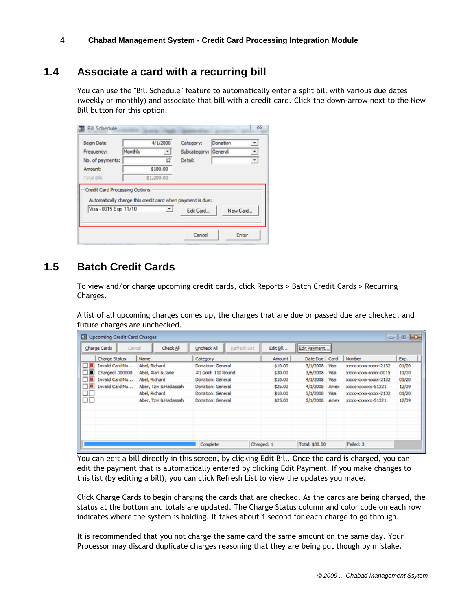**4 Chabad Management System - Credit Card Processing Integration Module**

#### <span id="page-3-0"></span>**1.4 Associate a card with a recurring bill**

You can use the "Bill Schedule" feature to automatically enter a split bill with various due dates (weekly or monthly) and associate that bill with a credit card. Click the down-arrow next to the New Bill button for this option.

| <b>Begin Date</b>      |         | 4/1/2008                 | Category:                                                  | Donation | $\overline{\phantom{a}}$ |
|------------------------|---------|--------------------------|------------------------------------------------------------|----------|--------------------------|
| Frequency:             | Monthly |                          | Subcategory: General                                       |          | $\overline{\phantom{a}}$ |
| No. of payments:       |         | 12                       | Detail:                                                    |          | $\overline{\phantom{a}}$ |
| Amount:                |         | \$100.00                 |                                                            |          |                          |
| Total Bill:            |         | \$1,200.00               |                                                            |          |                          |
|                        |         |                          | Automatically charge this credit card when payment is due: |          |                          |
| Visa - 0015 Exp: 11/10 |         | $\overline{\phantom{a}}$ | Edit Card                                                  |          | New Card                 |

#### <span id="page-3-1"></span>**1.5 Batch Credit Cards**

To view and/or charge upcoming credit cards, click Reports > Batch Credit Cards > Recurring Charges.

A list of all upcoming charges comes up, the charges that are due or passed due are checked, and future charges are unchecked.

|            | $\circ$ $\circ$ $\in$<br>Ell Upcoming Credit Card Charges |                       |                                    |            |                  |                      |       |  |  |
|------------|-----------------------------------------------------------|-----------------------|------------------------------------|------------|------------------|----------------------|-------|--|--|
|            | Cancel<br>Charge Cards                                    | Check All             | Refresh List<br><b>Uncheck All</b> | Edit Bil   | Edit Payment     |                      |       |  |  |
|            | Charge Status                                             | Name                  | Category                           | Amount     | Date Due   Card  | Number               | Exp.  |  |  |
| $\Box$     | Invalid Card Nu                                           | Abel, Richard         | Donation: General                  | \$10.00    | 3/1/2008<br>Visa | XXXX-XXXX-XXXXX-2132 | 01/20 |  |  |
| □■         | Charged: 000000                                           | Abel, Alan & Jane     | #1 Gold: 110 Round                 | \$30.00    | 3/6/2008<br>Visa | XXXX-XXXX-XXXXX-0015 | 11/10 |  |  |
| Пĩ         | Invalid Card Nu                                           | Abel, Richard         | Donation: General                  | \$10.00    | 4/1/2008<br>Visa | XXXX-XXXX-XXXXX-2132 | 01/20 |  |  |
| □■         | Invalid Card Nu                                           | Aber, Tzvi & Hadassah | Donation: General                  | \$25.00    | 4/1/2008<br>Amex | xxxx-xxxxxxx-51321   | 12/09 |  |  |
| ᄆ          |                                                           | Abel, Richard         | Donation: General                  | \$10.00    | 5/1/2008<br>Visa | XXXX-XXXX-XXXXX-2132 | 01/20 |  |  |
| $\Box\Box$ |                                                           | Aber, Tzvi & Hadassah | Donation: General                  | \$25.00    | 5/1/2008<br>Amex | xxxx-xxxxxxx-51321   | 12/09 |  |  |
|            |                                                           |                       |                                    |            |                  |                      |       |  |  |
|            |                                                           |                       |                                    |            |                  |                      |       |  |  |
|            |                                                           |                       |                                    |            |                  |                      |       |  |  |
|            |                                                           |                       |                                    |            |                  |                      |       |  |  |
|            |                                                           |                       |                                    |            |                  |                      |       |  |  |
|            |                                                           |                       | Complete                           | Charged: 1 | Total: \$30.00   | Failed: 3            |       |  |  |
|            |                                                           |                       |                                    |            |                  |                      |       |  |  |

You can edit a bill directly in this screen, by clicking Edit Bill. Once the card is charged, you can edit the payment that is automatically entered by clicking Edit Payment. If you make changes to this list (by editing a bill), you can click Refresh List to view the updates you made.

Click Charge Cards to begin charging the cards that are checked. As the cards are being charged, the status at the bottom and totals are updated. The Charge Status column and color code on each row indicates where the system is holding. It takes about 1 second for each charge to go through.

It is recommended that you not charge the same card the same amount on the same day. Your Processor may discard duplicate charges reasoning that they are being put though by mistake.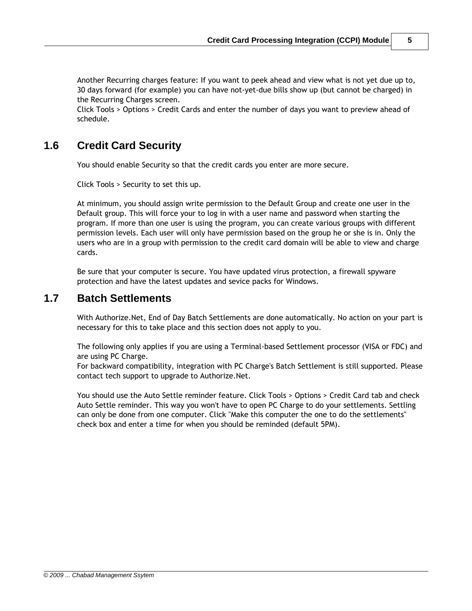Another Recurring charges feature: If you want to peek ahead and view what is not yet due up to, 30 days forward (for example) you can have not-yet-due bills show up (but cannot be charged) in the Recurring Charges screen.

Click Tools > Options > Credit Cards and enter the number of days you want to preview ahead of schedule.

#### <span id="page-4-0"></span>**1.6 Credit Card Security**

You should enable Security so that the credit cards you enter are more secure.

Click Tools > Security to set this up.

At minimum, you should assign write permission to the Default Group and create one user in the Default group. This will force your to log in with a user name and password when starting the program. If more than one user is using the program, you can create various groups with different permission levels. Each user will only have permission based on the group he or she is in. Only the users who are in a group with permission to the credit card domain will be able to view and charge cards.

Be sure that your computer is secure. You have updated virus protection, a firewall spyware protection and have the latest updates and sevice packs for Windows.

#### <span id="page-4-1"></span>**1.7 Batch Settlements**

With Authorize.Net, End of Day Batch Settlements are done automatically. No action on your part is necessary for this to take place and this section does not apply to you.

The following only applies if you are using a Terminal-based Settlement processor (VISA or FDC) and are using PC Charge.

For backward compatibility, integration with PC Charge's Batch Settlement is still supported. Please contact tech support to upgrade to Authorize.Net.

You should use the Auto Settle reminder feature. Click Tools > Options > Credit Card tab and check Auto Settle reminder. This way you won't have to open PC Charge to do your settlements. Settling can only be done from one computer. Click "Make this computer the one to do the settlements" check box and enter a time for when you should be reminded (default 5PM).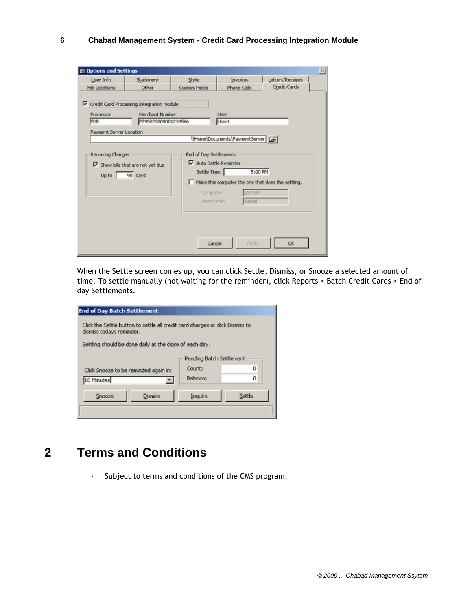| <b>EB Options and Settings</b>                     |                                                                                       |                                             |                                                                                                                          |                                  |  |
|----------------------------------------------------|---------------------------------------------------------------------------------------|---------------------------------------------|--------------------------------------------------------------------------------------------------------------------------|----------------------------------|--|
| User Info<br>File Locations                        | Stationery<br>Other                                                                   | Style<br>Custom Fields                      | Invoices<br>Phone Calls                                                                                                  | Letters/Receipts<br>Credit Cards |  |
| Processor<br><b>FDR</b><br>Payment Server Location | Ⅳ Credit Card Processing Integration module<br>Merchant Number<br>PZ95022009001234566 |                                             | <b>User</b><br>User1                                                                                                     |                                  |  |
| Recurring Charges<br>Up to $\vert$                 | $\nabla$ Show bills that are not yet due<br>90 days                                   | End of Day Settlements<br>Settle Time:<br>п | VHomelDocumentslPaymentServer   2<br>$\nabla$ Auto Settle Reminder<br>Make this computer the one that does the settling. | 5:00 PM                          |  |
|                                                    |                                                                                       | Computer:                                   | APTOP<br>UserName:<br><b>Yisroel</b>                                                                                     |                                  |  |
|                                                    |                                                                                       |                                             | Cancel<br>Apply                                                                                                          | OK                               |  |

When the Settle screen comes up, you can click Settle, Dismiss, or Snooze a selected amount of time. To settle manually (not waiting for the reminder), click Reports > Batch Credit Cards > End of day Settlements.

| <b>End of Day Batch Settlement</b>                                                                        |                                                         |          |  |  |  |  |  |
|-----------------------------------------------------------------------------------------------------------|---------------------------------------------------------|----------|--|--|--|--|--|
| Click the Settle button to settle all credit card charges or click Dismiss to<br>dismiss todays reminder. |                                                         |          |  |  |  |  |  |
|                                                                                                           | Settling should be done daily at the close of each day. |          |  |  |  |  |  |
|                                                                                                           | Pending Batch Settlement                                |          |  |  |  |  |  |
| Click Snooze to be reminded again in:                                                                     | Count:                                                  | $\Omega$ |  |  |  |  |  |
| 10 Minutes                                                                                                | Balance:                                                | 0        |  |  |  |  |  |
| <b>Dismiss</b><br>Snooze                                                                                  | Inquire                                                 | Settle   |  |  |  |  |  |

# <span id="page-5-0"></span>**2 Terms and Conditions**

· Subject to terms and conditions of the CMS program.